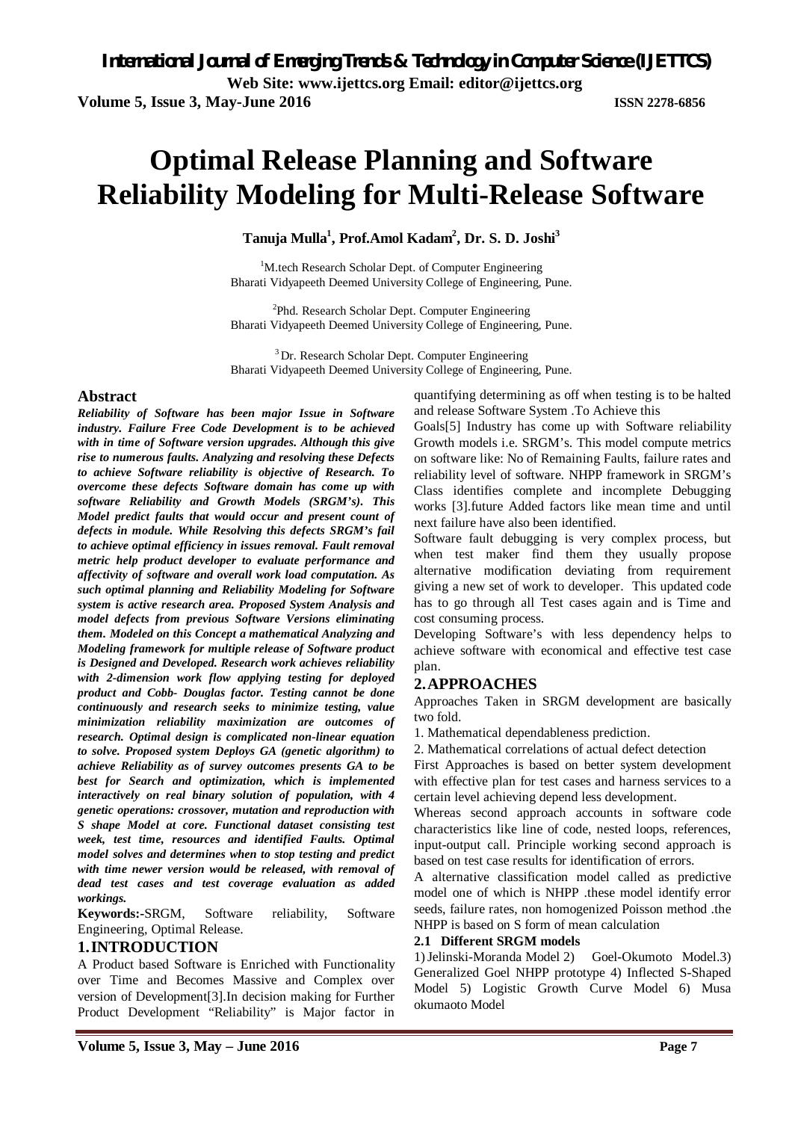**Volume 5, Issue 3, May-June 2016 ISSN 2278-6856**

# **Optimal Release Planning and Software Reliability Modeling for Multi-Release Software**

**Tanuja Mulla<sup>1</sup> , Prof.Amol Kadam 2 , Dr. S. D. Joshi<sup>3</sup>**

<sup>1</sup>M.tech Research Scholar Dept. of Computer Engineering Bharati Vidyapeeth Deemed University College of Engineering, Pune.

<sup>2</sup>Phd. Research Scholar Dept. Computer Engineering Bharati Vidyapeeth Deemed University College of Engineering, Pune.

<sup>3</sup> Dr. Research Scholar Dept. Computer Engineering Bharati Vidyapeeth Deemed University College of Engineering, Pune.

## **Abstract**

*Reliability of Software has been major Issue in Software industry. Failure Free Code Development is to be achieved with in time of Software version upgrades. Although this give rise to numerous faults. Analyzing and resolving these Defects to achieve Software reliability is objective of Research. To overcome these defects Software domain has come up with software Reliability and Growth Models (SRGM's). This Model predict faults that would occur and present count of defects in module. While Resolving this defects SRGM's fail to achieve optimal efficiency in issues removal. Fault removal metric help product developer to evaluate performance and affectivity of software and overall work load computation. As such optimal planning and Reliability Modeling for Software system is active research area. Proposed System Analysis and model defects from previous Software Versions eliminating them. Modeled on this Concept a mathematical Analyzing and Modeling framework for multiple release of Software product is Designed and Developed. Research work achieves reliability with 2-dimension work flow applying testing for deployed product and Cobb- Douglas factor. Testing cannot be done continuously and research seeks to minimize testing, value minimization reliability maximization are outcomes of research. Optimal design is complicated non-linear equation to solve. Proposed system Deploys GA (genetic algorithm) to achieve Reliability as of survey outcomes presents GA to be best for Search and optimization, which is implemented interactively on real binary solution of population, with 4 genetic operations: crossover, mutation and reproduction with S shape Model at core. Functional dataset consisting test week, test time, resources and identified Faults. Optimal model solves and determines when to stop testing and predict with time newer version would be released, with removal of dead test cases and test coverage evaluation as added workings.*

**Keywords:-**SRGM, Software reliability, Software Engineering, Optimal Release.

### **1.INTRODUCTION**

A Product based Software is Enriched with Functionality over Time and Becomes Massive and Complex over version of Development[3].In decision making for Further Product Development "Reliability" is Major factor in

quantifying determining as off when testing is to be halted and release Software System .To Achieve this

Goals[5] Industry has come up with Software reliability Growth models i.e. SRGM's. This model compute metrics on software like: No of Remaining Faults, failure rates and reliability level of software. NHPP framework in SRGM's Class identifies complete and incomplete Debugging works [3].future Added factors like mean time and until next failure have also been identified.

Software fault debugging is very complex process, but when test maker find them they usually propose alternative modification deviating from requirement giving a new set of work to developer. This updated code has to go through all Test cases again and is Time and cost consuming process.

Developing Software's with less dependency helps to achieve software with economical and effective test case plan.

### **2.APPROACHES**

Approaches Taken in SRGM development are basically two fold.

1. Mathematical dependableness prediction.

2. Mathematical correlations of actual defect detection

First Approaches is based on better system development with effective plan for test cases and harness services to a certain level achieving depend less development.

Whereas second approach accounts in software code characteristics like line of code, nested loops, references, input-output call. Principle working second approach is based on test case results for identification of errors.

A alternative classification model called as predictive model one of which is NHPP .these model identify error seeds, failure rates, non homogenized Poisson method .the NHPP is based on S form of mean calculation

#### **2.1 Different SRGM models**

1)Jelinski-Moranda Model 2) Goel-Okumoto Model.3) Generalized Goel NHPP prototype 4) Inflected S-Shaped Model 5) Logistic Growth Curve Model 6) Musa okumaoto Model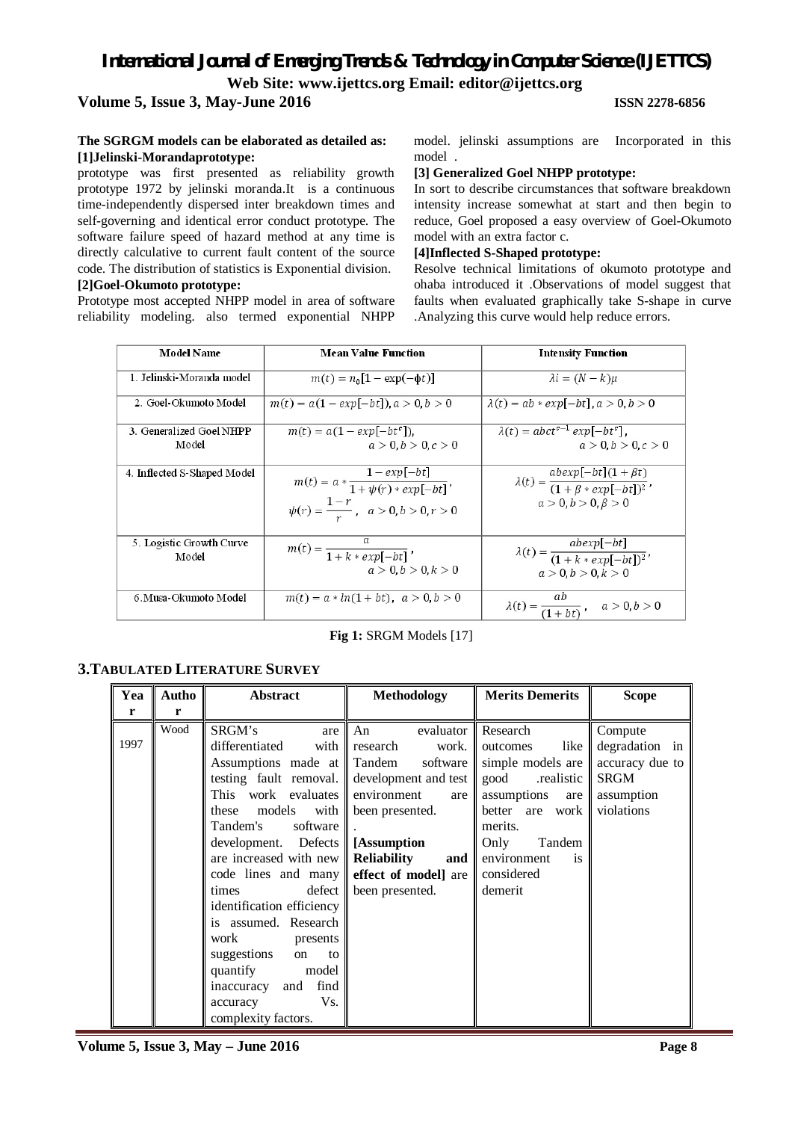### **Volume 5, Issue 3, May-June 2016 ISSN 2278-6856**

#### **The SGRGM models can be elaborated as detailed as: [1]Jelinski-Morandaprototype:**

prototype was first presented as reliability growth prototype 1972 by jelinski moranda.It is a continuous time-independently dispersed inter breakdown times and self-governing and identical error conduct prototype. The software failure speed of hazard method at any time is directly calculative to current fault content of the source code. The distribution of statistics is Exponential division.

#### **[2]Goel-Okumoto prototype:**

Prototype most accepted NHPP model in area of software reliability modeling. also termed exponential NHPP model. jelinski assumptions are Incorporated in this model .

#### **[3] Generalized Goel NHPP prototype:**

In sort to describe circumstances that software breakdown intensity increase somewhat at start and then begin to reduce, Goel proposed a easy overview of Goel-Okumoto model with an extra factor c.

#### **[4]Inflected S-Shaped prototype:**

Resolve technical limitations of okumoto prototype and ohaba introduced it .Observations of model suggest that faults when evaluated graphically take S-shape in curve .Analyzing this curve would help reduce errors.

| <b>Model Name</b>           | <b>Mean Value Function</b>                                | <b>Intensity Function</b>                                            |
|-----------------------------|-----------------------------------------------------------|----------------------------------------------------------------------|
| 1. Jelinski Moranda model   | $m(t) = n_0[1 - \exp(-\phi t)]$                           | $\lambda i = (N - k)\mu$                                             |
| 2. Goel-Okumoto Model       | $m(t) = a(1 - exp[-bt])$ , $a > 0, b > 0$                 | $\lambda(t) = ab * exp[-bt]$ $a > 0, b > 0$                          |
| 3. Generalized Goel NHPP    | $m(t) = a(1 - exp[-bt^c])$                                | $\lambda(t) = abct^{c-1} exp[-bt^c],$                                |
| Model                       | a > 0, b > 0, c > 0                                       | a > 0, b > 0, c > 0                                                  |
| 4. Inflected S-Shaped Model |                                                           |                                                                      |
|                             | $m(t) = a * \frac{1 - exp[-bt]}{1 + \psi(r) * exp[-bt]},$ | $\lambda(t) = \frac{abexp[-bt](1+\beta t)}{(1+\beta * exp[-bt])^2},$ |
|                             | $\psi(r) = \frac{1-r}{r}, \quad a > 0, b > 0, r > 0$      | $a > 0, b > 0, \beta > 0$                                            |
| 5. Logistic Growth Curve    |                                                           |                                                                      |
| Model                       | $m(t) = \frac{u}{1 + k * exp[-bt]}$                       | $\lambda(t) = \frac{abexp[-bt]}{(1 + k * exp[-bt])^2},$              |
|                             | a > 0, b > 0, k > 0                                       | a > 0, b > 0, k > 0                                                  |
| 6.Musa-Okumoto Model        | $m(t) = a * ln(1 + bt), a > 0, b > 0$                     | $\lambda(t) = \frac{ab}{(1+bt)}, \quad a > 0, b > 0$                 |

#### **Fig 1:** SRGM Models [17]

#### **3.TABULATED LITERATURE SURVEY**

| Yea  | Autho | Abstract                                                                                                                                                                                                                                                                                                                                                                                                                                                                                                                       | <b>Methodology</b>                                                                                                                                           | <b>Merits Demerits</b>                                                                                                                                                                   | <b>Scope</b>                                                                            |
|------|-------|--------------------------------------------------------------------------------------------------------------------------------------------------------------------------------------------------------------------------------------------------------------------------------------------------------------------------------------------------------------------------------------------------------------------------------------------------------------------------------------------------------------------------------|--------------------------------------------------------------------------------------------------------------------------------------------------------------|------------------------------------------------------------------------------------------------------------------------------------------------------------------------------------------|-----------------------------------------------------------------------------------------|
| r    | r     |                                                                                                                                                                                                                                                                                                                                                                                                                                                                                                                                |                                                                                                                                                              |                                                                                                                                                                                          |                                                                                         |
| 1997 | Wood  | SRGM's<br>are<br>differentiated<br>with $\parallel$<br>Assumptions made at Tandem<br>testing fault removal. $\ $<br>This work evaluates $\ $<br>models<br>with  <br>these<br>Tandem's<br>software<br>development. Defects [Assumption]<br>are increased with new<br>code lines and many effect of model are<br>defect<br>times<br>identification efficiency<br>is assumed. Research<br>work<br>presents<br>suggestions<br>to<br>on<br>quantify<br>model<br>inaccuracy<br>find<br>and<br>Vs.<br>accuracy<br>complexity factors. | An<br>research<br>work. I<br>development and test good realistic<br>environment<br>are<br>been presented.<br><b>Reliability</b><br>and   <br>been presented. | evaluator Research<br>like<br>outcomes<br>software simple models are<br>assumptions<br>are<br>better are work<br>merits.<br>Tandem<br>Only<br>environment<br>is<br>considered<br>demerit | Compute<br>degradation in<br>accuracy due to<br><b>SRGM</b><br>assumption<br>violations |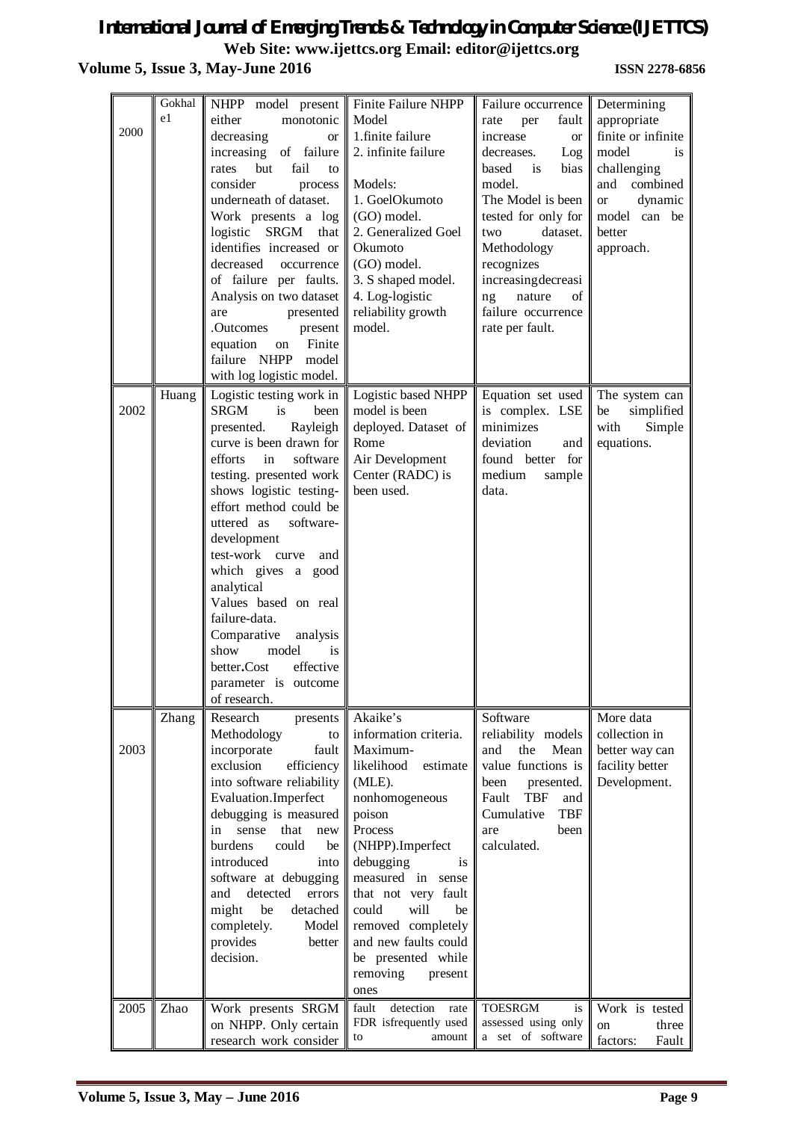# *International Journal of Emerging Trends & Technology in Computer Science (IJETTCS)* **Web Site: www.ijettcs.org Email: editor@ijettcs.org Volume 5, Issue 3, May-June 2016 <b>ISSN 2278-6856**

| 2000 | Gokhal<br>e1 | NHPP model present<br>either<br>monotonic<br>decreasing<br><b>or</b><br>increasing<br>of failure<br>fail<br>but<br>rates<br>to<br>consider<br>process<br>underneath of dataset.<br>Work presents a log<br>logistic<br><b>SRGM</b><br>that<br>identifies increased or<br>decreased<br>occurrence<br>of failure per faults.<br>Analysis on two dataset<br>presented<br>are<br>.Outcomes<br>present<br>equation<br>Finite<br>on<br>failure NHPP<br>model<br>with log logistic model.              | Finite Failure NHPP<br>Model<br>1.finite failure<br>2. infinite failure<br>Models:<br>1. GoelOkumoto<br>(GO) model.<br>2. Generalized Goel<br>Okumoto<br>(GO) model.<br>3. S shaped model.<br>4. Log-logistic<br>reliability growth<br>model.                                                                                         | Failure occurrence<br>fault<br>per<br>rate<br>increase<br><b>or</b><br>decreases.<br>Log<br>based<br>bias<br>is<br>model.<br>The Model is been<br>tested for only for<br>dataset.<br>two<br>Methodology<br>recognizes<br>increasingdecreasi<br>of<br>nature<br>ng<br>failure occurrence<br>rate per fault. | Determining<br>appropriate<br>finite or infinite<br>model<br><i>is</i><br>challenging<br>combined<br>and<br>dynamic<br><b>or</b><br>model can<br>be<br>better<br>approach. |
|------|--------------|------------------------------------------------------------------------------------------------------------------------------------------------------------------------------------------------------------------------------------------------------------------------------------------------------------------------------------------------------------------------------------------------------------------------------------------------------------------------------------------------|---------------------------------------------------------------------------------------------------------------------------------------------------------------------------------------------------------------------------------------------------------------------------------------------------------------------------------------|------------------------------------------------------------------------------------------------------------------------------------------------------------------------------------------------------------------------------------------------------------------------------------------------------------|----------------------------------------------------------------------------------------------------------------------------------------------------------------------------|
| 2002 | Huang        | Logistic testing work in<br><b>SRGM</b><br>is<br>been<br>presented.<br>Rayleigh<br>curve is been drawn for<br>efforts<br>software<br>in<br>testing. presented work<br>shows logistic testing-<br>effort method could be<br>uttered as<br>software-<br>development<br>test-work curve<br>and<br>which gives a good<br>analytical<br>Values based on real<br>failure-data.<br>Comparative<br>analysis<br>model<br>show<br>is<br>effective<br>better.Cost<br>parameter is outcome<br>of research. | Logistic based NHPP<br>model is been<br>deployed. Dataset of<br>Rome<br>Air Development<br>Center (RADC) is<br>been used.                                                                                                                                                                                                             | Equation set used<br>is complex. LSE<br>minimizes<br>deviation<br>and<br>found better for<br>medium<br>sample<br>data.                                                                                                                                                                                     | The system can<br>simplified<br>be<br>with<br>Simple<br>equations.                                                                                                         |
| 2003 | Zhang        | Research<br>presents<br>Methodology<br>to<br>incorporate<br>fault<br>exclusion<br>efficiency<br>into software reliability<br>Evaluation.Imperfect<br>debugging is measured<br>that<br>sense<br>new<br>in<br>burdens<br>could<br>be<br>introduced<br>into<br>software at debugging<br>detected<br>errors<br>and<br>might<br>be<br>detached<br>completely.<br>Model<br>provides<br>better<br>decision.                                                                                           | Akaike's<br>information criteria.<br>Maximum-<br>likelihood<br>estimate<br>(MLE).<br>nonhomogeneous<br>poison<br>Process<br>(NHPP).Imperfect<br>debugging<br>is<br>measured in sense<br>that not very fault<br>could<br>will<br>be<br>removed completely<br>and new faults could<br>be presented while<br>removing<br>present<br>ones | Software<br>reliability models<br>and<br>the<br>Mean<br>value functions is<br>been<br>presented.<br><b>TBF</b><br>Fault<br>and<br>Cumulative<br><b>TBF</b><br>are<br>been<br>calculated.                                                                                                                   | More data<br>collection in<br>better way can<br>facility better<br>Development.                                                                                            |
| 2005 | Zhao         | Work presents SRGM<br>on NHPP. Only certain<br>research work consider                                                                                                                                                                                                                                                                                                                                                                                                                          | detection<br>fault<br>rate<br>FDR isfrequently used<br>amount<br>to                                                                                                                                                                                                                                                                   | <b>TOESRGM</b><br>is<br>assessed using only<br>a set of software                                                                                                                                                                                                                                           | Work is tested<br>three<br>on<br>factors:<br>Fault                                                                                                                         |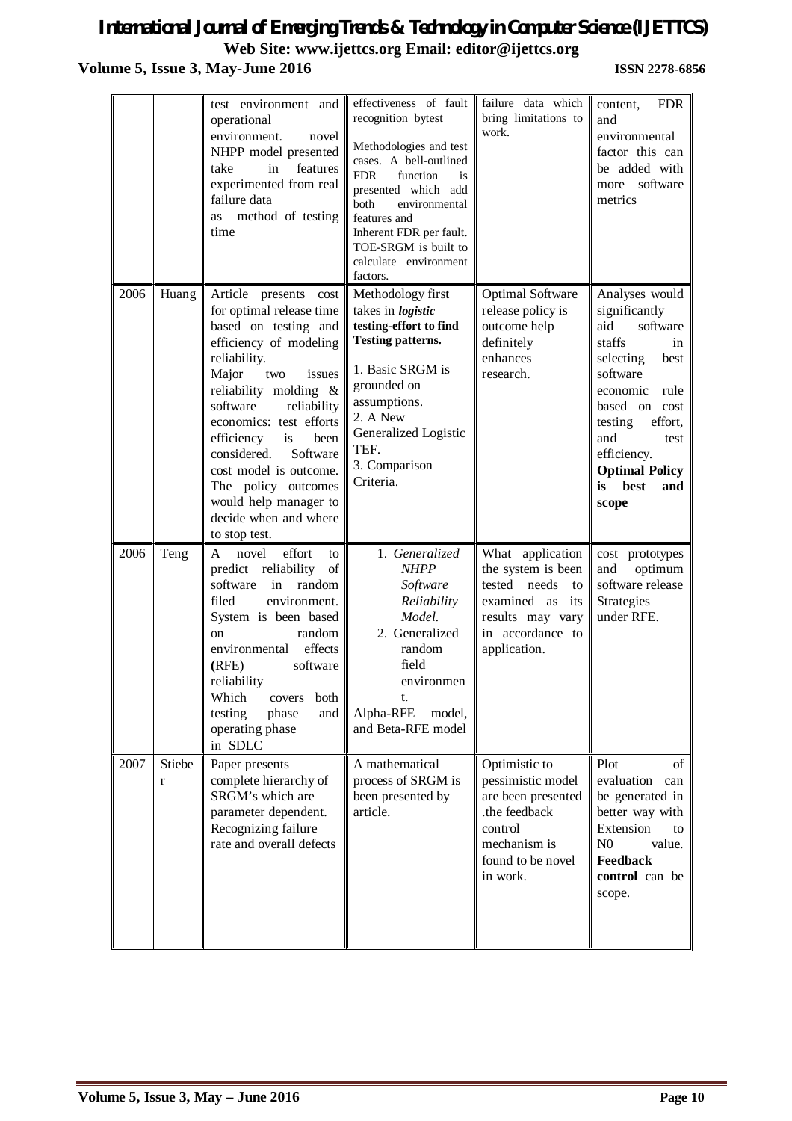# *International Journal of Emerging Trends & Technology in Computer Science (IJETTCS)* **Web Site: www.ijettcs.org Email: editor@ijettcs.org Volume 5, Issue 3, May-June 2016 <b>ISSN 2278-6856**

|      |             | test environment and<br>operational<br>environment.<br>novel<br>NHPP model presented<br>features<br>take<br>in<br>experimented from real<br>failure data<br>method of testing<br>as<br>time                                                                                                                                                                                                             | effectiveness of fault<br>recognition bytest<br>Methodologies and test<br>cases. A bell-outlined<br><b>FDR</b><br>function<br>is<br>presented which add<br>environmental<br>both<br>features and<br>Inherent FDR per fault.<br>TOE-SRGM is built to<br>calculate environment<br>factors. | failure data which<br>bring limitations to<br>work.                                                                                        | <b>FDR</b><br>content,<br>and<br>environmental<br>factor this can<br>be added with<br>more software<br>metrics                                                                                                                                      |
|------|-------------|---------------------------------------------------------------------------------------------------------------------------------------------------------------------------------------------------------------------------------------------------------------------------------------------------------------------------------------------------------------------------------------------------------|------------------------------------------------------------------------------------------------------------------------------------------------------------------------------------------------------------------------------------------------------------------------------------------|--------------------------------------------------------------------------------------------------------------------------------------------|-----------------------------------------------------------------------------------------------------------------------------------------------------------------------------------------------------------------------------------------------------|
| 2006 | Huang       | Article presents cost<br>for optimal release time<br>based on testing and<br>efficiency of modeling<br>reliability.<br>Major<br>two<br>issues<br>reliability molding &<br>software<br>reliability<br>economics: test efforts<br>is<br>efficiency<br>been<br>Software<br>considered.<br>cost model is outcome.<br>The policy outcomes<br>would help manager to<br>decide when and where<br>to stop test. | Methodology first<br>takes in <i>logistic</i><br>testing-effort to find<br><b>Testing patterns.</b><br>1. Basic SRGM is<br>grounded on<br>assumptions.<br>2. A New<br>Generalized Logistic<br>TEF.<br>3. Comparison<br>Criteria.                                                         | <b>Optimal Software</b><br>release policy is<br>outcome help<br>definitely<br>enhances<br>research.                                        | Analyses would<br>significantly<br>software<br>aid<br>staffs<br>in<br>selecting<br>best<br>software<br>economic<br>rule<br>based on cost<br>testing<br>effort,<br>and<br>test<br>efficiency.<br><b>Optimal Policy</b><br>best<br>is<br>and<br>scope |
| 2006 | Teng        | effort<br>A<br>novel<br>to<br>of<br>predict reliability<br>in<br>random<br>software<br>filed<br>environment.<br>System is been based<br>random<br><sub>on</sub><br>effects<br>environmental<br>(RFE)<br>software<br>reliability<br>Which<br>both<br>covers<br>testing<br>phase<br>and<br>operating phase<br>in SDLC                                                                                     | 1. Generalized<br><b>NHPP</b><br>Software<br>Reliability<br>Model.<br>2. Generalized<br>random<br>field<br>environmen<br>t.<br>Alpha-RFE<br>model,<br>and Beta-RFE model                                                                                                                 | What application<br>the system is been<br>tested needs<br>to<br>examined as<br>its<br>results may vary<br>in accordance to<br>application. | cost prototypes<br>optimum<br>and<br>software release<br>Strategies<br>under RFE.                                                                                                                                                                   |
| 2007 | Stiebe<br>r | Paper presents<br>complete hierarchy of<br>SRGM's which are<br>parameter dependent.<br>Recognizing failure<br>rate and overall defects                                                                                                                                                                                                                                                                  | A mathematical<br>process of SRGM is<br>been presented by<br>article.                                                                                                                                                                                                                    | Optimistic to<br>pessimistic model<br>are been presented<br>.the feedback<br>control<br>mechanism is<br>found to be novel<br>in work.      | Plot<br>of<br>evaluation can<br>be generated in<br>better way with<br>Extension<br>to<br>N <sub>0</sub><br>value.<br>Feedback<br>control can be<br>scope.                                                                                           |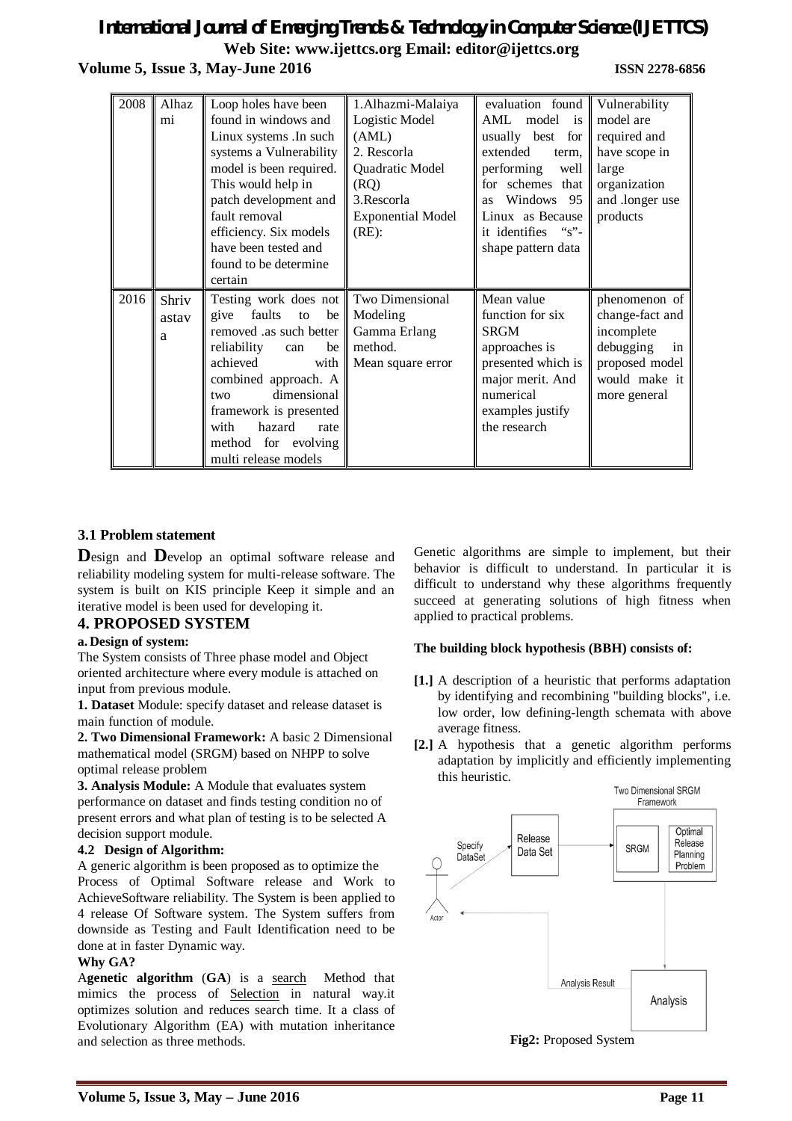# *International Journal of Emerging Trends & Technology in Computer Science (IJETTCS)* **Web Site: www.ijettcs.org Email: editor@ijettcs.org Volume 5, Issue 3, May-June 2016 ISSN 2278-6856**

| 2008 | Alhaz | Loop holes have been       | 1.Alhazmi-Malaiya        | evaluation found        | Vulnerability   |
|------|-------|----------------------------|--------------------------|-------------------------|-----------------|
|      | mi    | found in windows and       | Logistic Model           | AML model<br>is         | model are       |
|      |       | Linux systems .In such     | (AML)                    | usually best<br>for     | required and    |
|      |       | systems a Vulnerability    | 2. Rescorla              | extended<br>term,       | have scope in   |
|      |       | model is been required.    | Quadratic Model          | performing<br>well      | large           |
|      |       | This would help in         | (RQ)                     | for schemes that        | organization    |
|      |       | patch development and      | 3. Rescorla              | Windows 95<br><b>as</b> | and .longer use |
|      |       | fault removal              | <b>Exponential Model</b> | Linux as Because        | products        |
|      |       | efficiency. Six models     | $(RE)$ :                 | it identifies "s"-      |                 |
|      |       | have been tested and       |                          | shape pattern data      |                 |
|      |       | found to be determine      |                          |                         |                 |
|      |       | certain                    |                          |                         |                 |
| 2016 | Shriv | Testing work does not      | Two Dimensional          | Mean value              | phenomenon of   |
|      | astav | faults<br>be<br>give<br>to | Modeling                 | function for six        | change-fact and |
|      | a     | removed .as such better    | Gamma Erlang             | <b>SRGM</b>             | incomplete      |
|      |       | reliability<br>be<br>can   | method.                  | approaches is           | debugging<br>in |
|      |       | achieved<br>with           | Mean square error        | presented which is      | proposed model  |
|      |       | combined approach. A       |                          | major merit. And        | would make it   |
|      |       | dimensional<br>two         |                          | numerical               | more general    |
|      |       | framework is presented     |                          | examples justify        |                 |
|      |       | hazard<br>with<br>rate     |                          | the research            |                 |
|      |       | method for evolving        |                          |                         |                 |
|      |       | multi release models       |                          |                         |                 |

# **3.1 Problem statement**

**D**esign and **D**evelop an optimal software release and reliability modeling system for multi-release software. The system is built on KIS principle Keep it simple and an iterative model is been used for developing it.

### **4. PROPOSED SYSTEM**

#### **a. Design of system:**

The System consists of Three phase model and Object oriented architecture where every module is attached on input from previous module.

**1. Dataset** Module: specify dataset and release dataset is main function of module.

**2. Two Dimensional Framework:** A basic 2 Dimensional mathematical model (SRGM) based on NHPP to solve optimal release problem

**3. Analysis Module:** A Module that evaluates system performance on dataset and finds testing condition no of present errors and what plan of testing is to be selected A decision support module.

#### **4.2 Design of Algorithm:**

A generic algorithm is been proposed as to optimize the Process of Optimal Software release and Work to AchieveSoftware reliability. The System is been applied to 4 release Of Software system. The System suffers from downside as Testing and Fault Identification need to be done at in faster Dynamic way.

#### **Why GA?**

A**genetic algorithm** (**GA**) is a search Method that mimics the process of Selection in natural way.it optimizes solution and reduces search time. It a class of Evolutionary Algorithm (EA) with mutation inheritance and selection as three methods.

Genetic algorithms are simple to implement, but their behavior is difficult to understand. In particular it is difficult to understand why these algorithms frequently succeed at generating solutions of high fitness when applied to practical problems.

#### **The building block hypothesis (BBH) consists of:**

- **[1.]** A description of a heuristic that performs adaptation by identifying and recombining "building blocks", i.e. low order, low defining-length schemata with above average fitness.
- **[2.]** A hypothesis that a genetic algorithm performs adaptation by implicitly and efficiently implementing this heuristic.



**Fig2:** Proposed System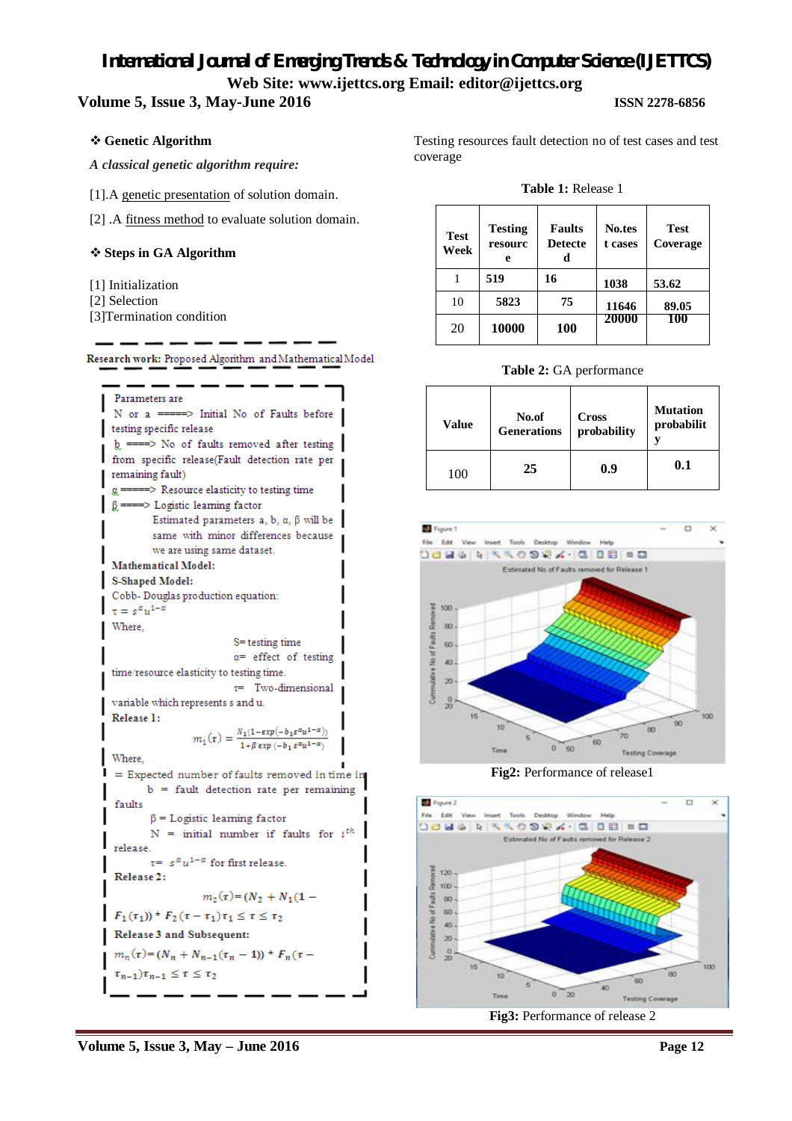### **Volume 5, Issue 3, May-June 2016 ISSN 2278-6856**

### **Genetic Algorithm**

*A classical genetic algorithm require:*

[1].A genetic presentation of solution domain.

[2] .A fitness method to evaluate solution domain.

### **Steps in GA Algorithm**

- [1] Initialization
- [2] Selection
- [3]Termination condition

| Research work: Proposed Algorithm and Mathematical Model |
|----------------------------------------------------------|
|----------------------------------------------------------|



Testing resources fault detection no of test cases and test coverage

#### **Table 1:** Release 1

| <b>Test</b><br>Week | <b>Testing</b><br>resourc<br>e | <b>Faults</b><br><b>Detecte</b><br>d | <b>No.tes</b><br>t cases | <b>Test</b><br>Coverage |
|---------------------|--------------------------------|--------------------------------------|--------------------------|-------------------------|
|                     | 519                            | 16                                   | 1038                     | 53.62                   |
| 10                  | 5823                           | 75                                   | 11646                    | 89.05                   |
| 20                  | 10000                          | 100                                  | 20000                    | 100                     |

#### **Table 2:** GA performance

| Value | No.of              | <b>Cross</b> | <b>Mutation</b> |
|-------|--------------------|--------------|-----------------|
|       | <b>Generations</b> | probability  | probabilit      |
| 100   | 25                 | 0.9          | 0.1             |



**Fig2:** Performance of release1



**Fig3:** Performance of release 2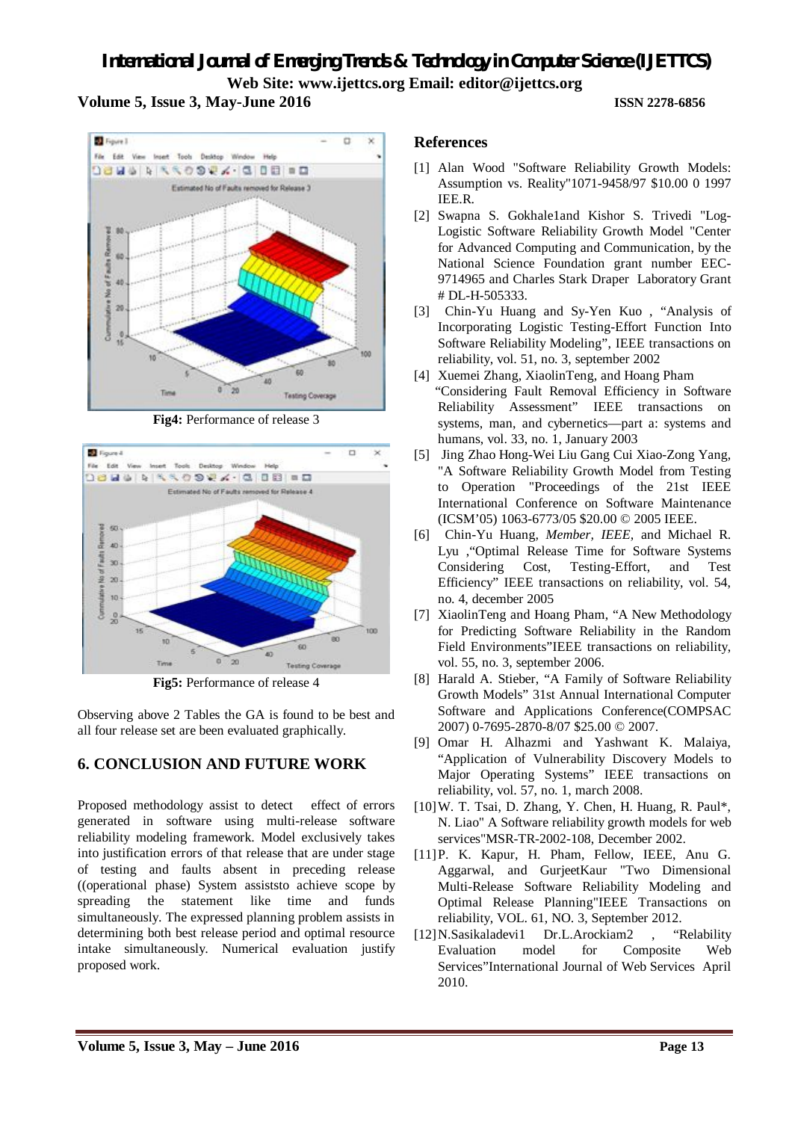**Volume 5, Issue 3, May-June 2016 ISSN 2278-6856**



**Fig4:** Performance of release 3



**Fig5:** Performance of release 4

Observing above 2 Tables the GA is found to be best and all four release set are been evaluated graphically.

# **6. CONCLUSION AND FUTURE WORK**

Proposed methodology assist to detect effect of errors generated in software using multi-release software reliability modeling framework. Model exclusively takes into justification errors of that release that are under stage of testing and faults absent in preceding release ((operational phase) System assiststo achieve scope by spreading the statement like time and funds simultaneously. The expressed planning problem assists in determining both best release period and optimal resource intake simultaneously. Numerical evaluation justify proposed work.

### **References**

- [1] Alan Wood "Software Reliability Growth Models: Assumption vs. Reality"1071-9458/97 \$10.00 0 1997 IEE.R.
- [2] Swapna S. Gokhale1and Kishor S. Trivedi "Log-Logistic Software Reliability Growth Model "Center for Advanced Computing and Communication, by the National Science Foundation grant number EEC-9714965 and Charles Stark Draper Laboratory Grant # DL-H-505333.
- [3] Chin-Yu Huang and Sy-Yen Kuo , "Analysis of Incorporating Logistic Testing-Effort Function Into Software Reliability Modeling", IEEE transactions on reliability, vol. 51, no. 3, september 2002
- [4] Xuemei Zhang, XiaolinTeng, and Hoang Pham "Considering Fault Removal Efficiency in Software Reliability Assessment" IEEE transactions on systems, man, and cybernetics—part a: systems and humans, vol. 33, no. 1, January 2003
- [5] Jing Zhao Hong-Wei Liu Gang Cui Xiao-Zong Yang, "A Software Reliability Growth Model from Testing to Operation "Proceedings of the 21st IEEE International Conference on Software Maintenance (ICSM'05) 1063-6773/05 \$20.00 © 2005 IEEE.
- [6] Chin-Yu Huang*, Member, IEEE,* and Michael R. Lyu ,"Optimal Release Time for Software Systems Considering Cost, Testing-Effort, and Test Efficiency" IEEE transactions on reliability, vol. 54, no. 4, december 2005
- [7] XiaolinTeng and Hoang Pham, "A New Methodology for Predicting Software Reliability in the Random Field Environments"IEEE transactions on reliability, vol. 55, no. 3, september 2006.
- [8] Harald A. Stieber, "A Family of Software Reliability Growth Models" 31st Annual International Computer Software and Applications Conference(COMPSAC 2007) 0-7695-2870-8/07 \$25.00 © 2007.
- [9] Omar H. Alhazmi and Yashwant K. Malaiya, "Application of Vulnerability Discovery Models to Major Operating Systems" IEEE transactions on reliability, vol. 57, no. 1, march 2008.
- [10]W. T. Tsai, D. Zhang, Y. Chen, H. Huang, R. Paul\*, N. Liao" A Software reliability growth models for web services"MSR-TR-2002-108, December 2002.
- [11]P. K. Kapur, H. Pham, Fellow, IEEE, Anu G. Aggarwal, and GurjeetKaur "Two Dimensional Multi-Release Software Reliability Modeling and Optimal Release Planning"IEEE Transactions on reliability, VOL. 61, NO. 3, September 2012.
- [12]N.Sasikaladevi1 Dr.L.Arockiam2 , "Relability Evaluation model for Composite Web Services"International Journal of Web Services April 2010.